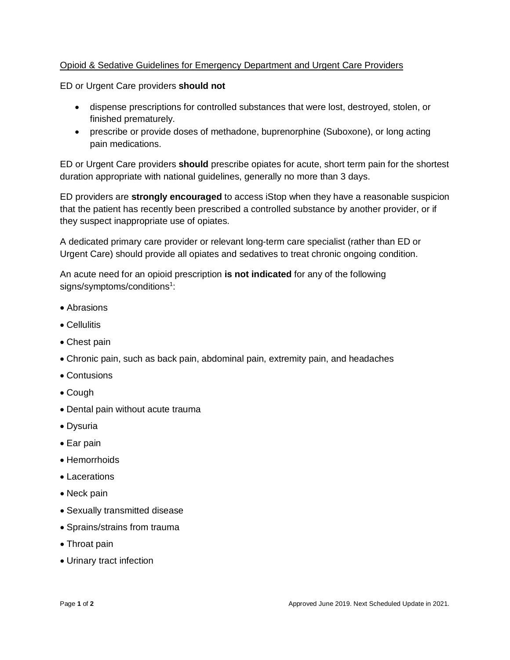## Opioid & Sedative Guidelines for Emergency Department and Urgent Care Providers

ED or Urgent Care providers **should not**

- dispense prescriptions for controlled substances that were lost, destroyed, stolen, or finished prematurely.
- prescribe or provide doses of methadone, buprenorphine (Suboxone), or long acting pain medications.

ED or Urgent Care providers **should** prescribe opiates for acute, short term pain for the shortest duration appropriate with national guidelines, generally no more than 3 days.

ED providers are **strongly encouraged** to access iStop when they have a reasonable suspicion that the patient has recently been prescribed a controlled substance by another provider, or if they suspect inappropriate use of opiates.

A dedicated primary care provider or relevant long-term care specialist (rather than ED or Urgent Care) should provide all opiates and sedatives to treat chronic ongoing condition.

An acute need for an opioid prescription **is not indicated** for any of the following signs/symptoms/conditions<sup>1</sup>:

- Abrasions
- Cellulitis
- Chest pain
- Chronic pain, such as back pain, abdominal pain, extremity pain, and headaches
- Contusions
- Cough
- Dental pain without acute trauma
- Dysuria
- Ear pain
- Hemorrhoids
- Lacerations
- Neck pain
- Sexually transmitted disease
- Sprains/strains from trauma
- Throat pain
- Urinary tract infection